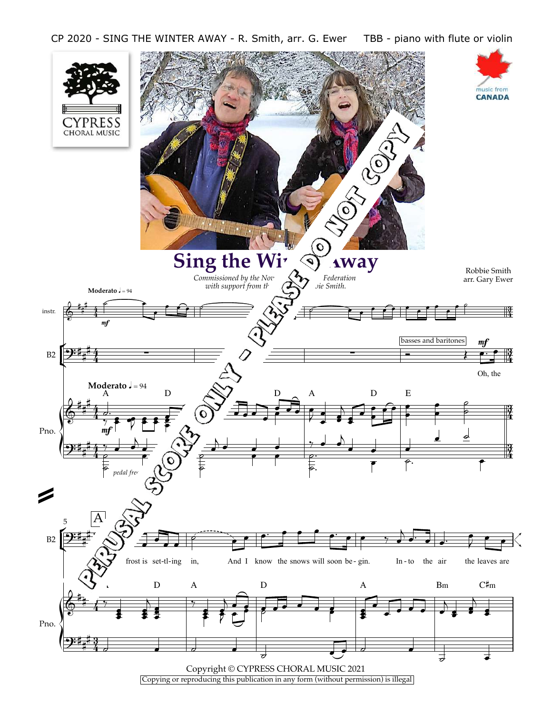CP 2020 - SING THE WINTER AWAY - R. Smith, arr. G. Ewer TBB - piano with flute or violin

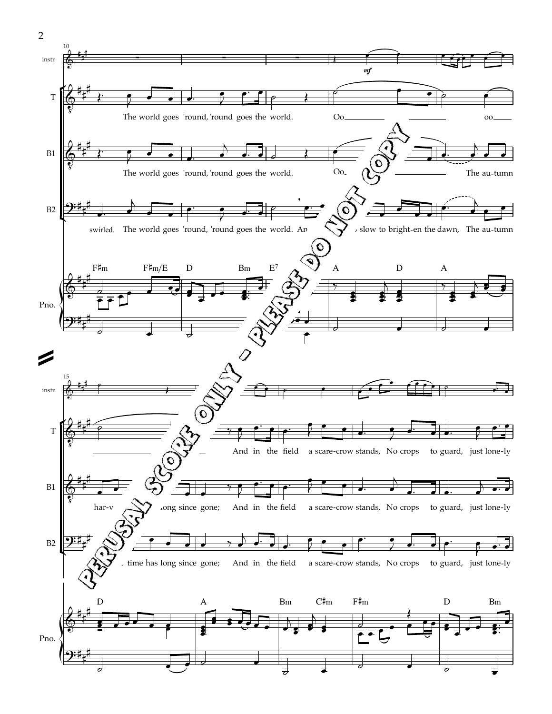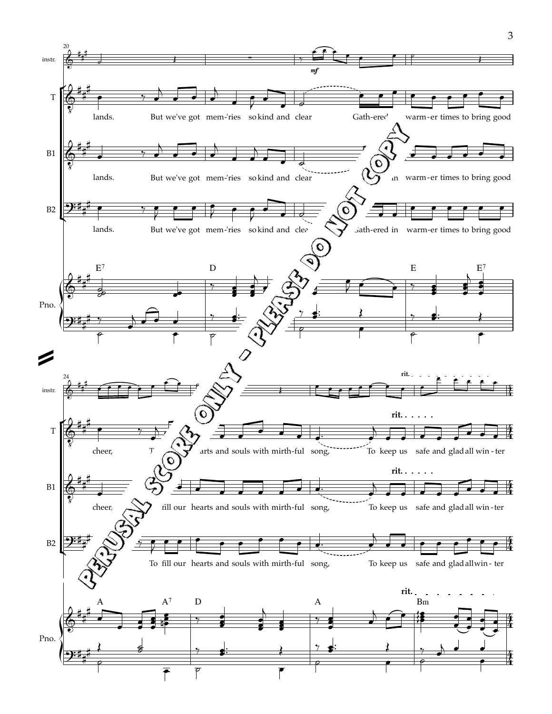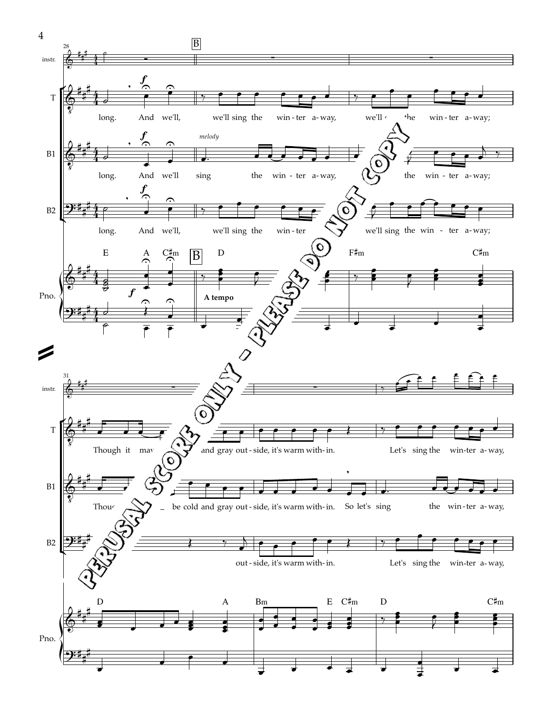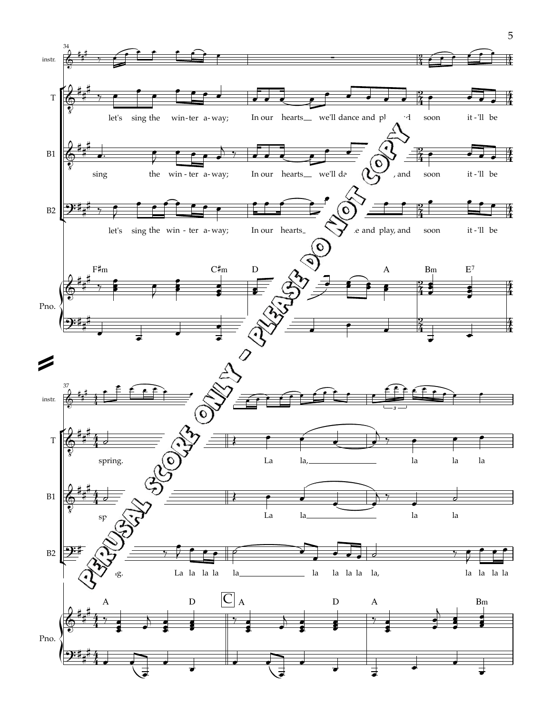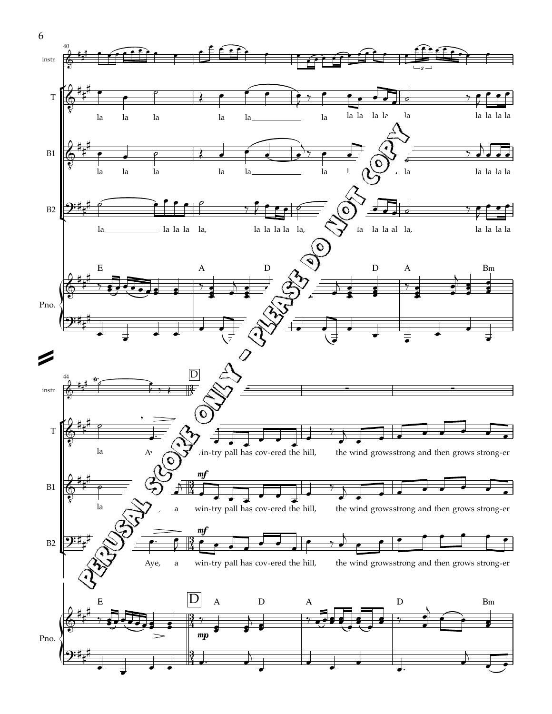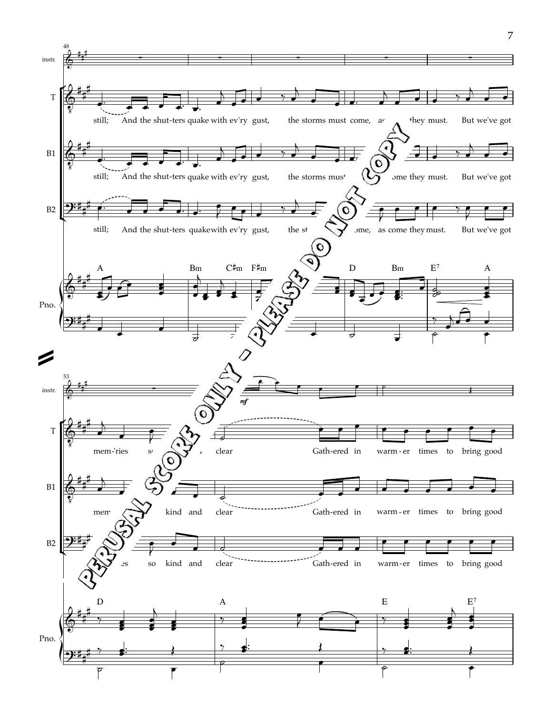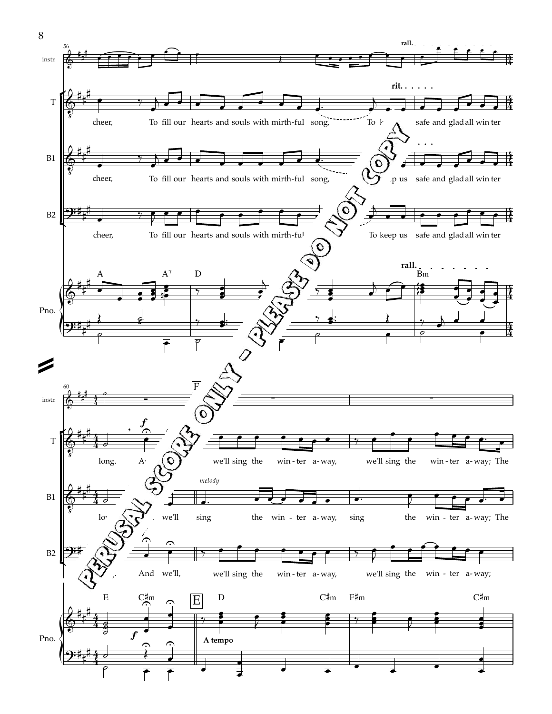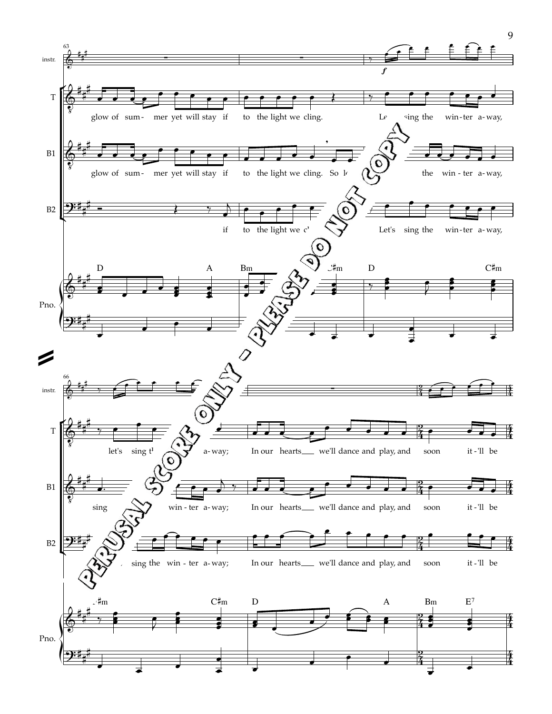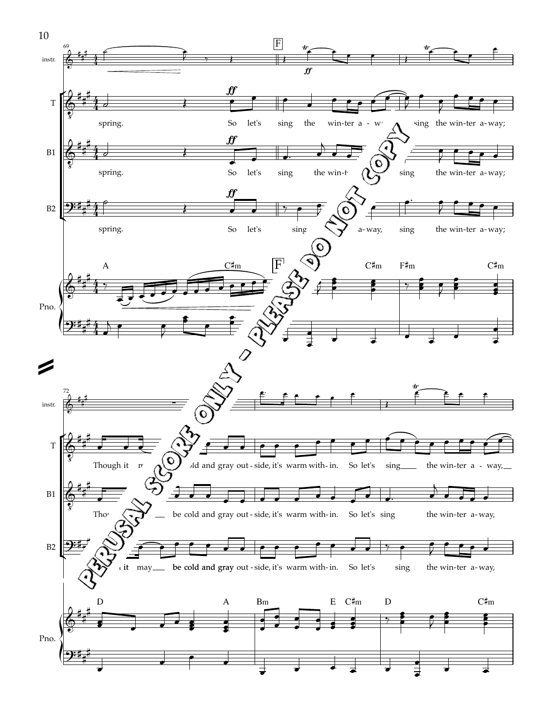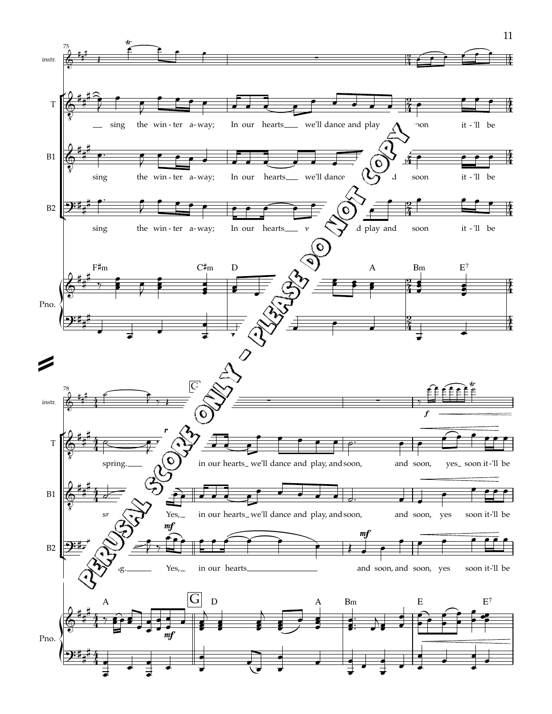